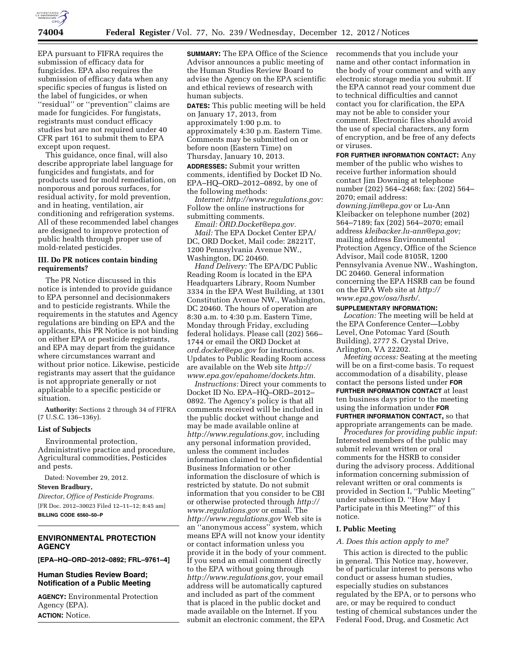

EPA pursuant to FIFRA requires the submission of efficacy data for fungicides. EPA also requires the submission of efficacy data when any specific species of fungus is listed on the label of fungicides, or when ''residual'' or ''prevention'' claims are made for fungicides. For fungistats, registrants must conduct efficacy studies but are not required under 40 CFR part 161 to submit them to EPA except upon request.

This guidance, once final, will also describe appropriate label language for fungicides and fungistats, and for products used for mold remediation, on nonporous and porous surfaces, for residual activity, for mold prevention, and in heating, ventilation, air conditioning and refrigeration systems. All of these recommended label changes are designed to improve protection of public health through proper use of mold-related pesticides.

#### **III. Do PR notices contain binding requirements?**

The PR Notice discussed in this notice is intended to provide guidance to EPA personnel and decisionmakers and to pesticide registrants. While the requirements in the statutes and Agency regulations are binding on EPA and the applicants, this PR Notice is not binding on either EPA or pesticide registrants, and EPA may depart from the guidance where circumstances warrant and without prior notice. Likewise, pesticide registrants may assert that the guidance is not appropriate generally or not applicable to a specific pesticide or situation.

**Authority:** Sections 2 through 34 of FIFRA (7 U.S.C. 136–136y).

## **List of Subjects**

Environmental protection, Administrative practice and procedure, Agricultural commodities, Pesticides and pests.

Dated: November 29, 2012.

#### **Steven Bradbury,**

*Director, Office of Pesticide Programs.*  [FR Doc. 2012–30023 Filed 12–11–12; 8:45 am] **BILLING CODE 6560–50–P** 

# **ENVIRONMENTAL PROTECTION AGENCY**

**[EPA–HQ–ORD–2012–0892; FRL–9761–4]** 

## **Human Studies Review Board; Notification of a Public Meeting**

**AGENCY:** Environmental Protection Agency (EPA). **ACTION:** Notice.

**SUMMARY:** The EPA Office of the Science Advisor announces a public meeting of the Human Studies Review Board to advise the Agency on the EPA scientific and ethical reviews of research with human subjects.

**DATES:** This public meeting will be held on January 17, 2013, from approximately 1:00 p.m. to approximately 4:30 p.m. Eastern Time. Comments may be submitted on or before noon (Eastern Time) on Thursday, January 10, 2013.

**ADDRESSES:** Submit your written comments, identified by Docket ID No. EPA–HQ–ORD–2012–0892, by one of the following methods:

*Internet: [http://www.regulations.gov:](http://www.regulations.gov)*  Follow the online instructions for submitting comments.

*Email: [ORD.Docket@epa.gov.](mailto:ORD.Docket@epa.gov)  Mail:* The EPA Docket Center EPA/ DC, ORD Docket, Mail code: 28221T, 1200 Pennsylvania Avenue NW., Washington, DC 20460.

*Hand Delivery:* The EPA/DC Public Reading Room is located in the EPA Headquarters Library, Room Number 3334 in the EPA West Building, at 1301 Constitution Avenue NW., Washington, DC 20460. The hours of operation are 8:30 a.m. to 4:30 p.m. Eastern Time, Monday through Friday, excluding federal holidays. Please call (202) 566– 1744 or email the ORD Docket at *[ord.docket@epa.gov](mailto:ord.docket@epa.gov)* for instructions. Updates to Public Reading Room access are available on the Web site *[http://](http://www.epa.gov/epahome/dockets.htm) [www.epa.gov/epahome/dockets.htm.](http://www.epa.gov/epahome/dockets.htm)* 

*Instructions:* Direct your comments to Docket ID No. EPA–HQ–ORD–2012– 0892. The Agency's policy is that all comments received will be included in the public docket without change and may be made available online at *[http://www.regulations.gov,](http://www.regulations.gov)* including any personal information provided, unless the comment includes information claimed to be Confidential Business Information or other information the disclosure of which is restricted by statute. Do not submit information that you consider to be CBI or otherwise protected through *[http://](http://www.regulations.gov)  [www.regulations.gov](http://www.regulations.gov)* or email. The *<http://www.regulations.gov>* Web site is an ''anonymous access'' system, which means EPA will not know your identity or contact information unless you provide it in the body of your comment. If you send an email comment directly to the EPA without going through *[http://www.regulations.gov,](http://www.regulations.gov)* your email address will be automatically captured and included as part of the comment that is placed in the public docket and made available on the Internet. If you submit an electronic comment, the EPA

recommends that you include your name and other contact information in the body of your comment and with any electronic storage media you submit. If the EPA cannot read your comment due to technical difficulties and cannot contact you for clarification, the EPA may not be able to consider your comment. Electronic files should avoid the use of special characters, any form of encryption, and be free of any defects or viruses.

**FOR FURTHER INFORMATION CONTACT:** Any member of the public who wishes to receive further information should contact Jim Downing at telephone number (202) 564–2468; fax: (202) 564– 2070; email address:

*[downing.jim@epa.gov](mailto:downing.jim@epa.gov)* or Lu-Ann Kleibacker on telephone number (202) 564–7189; fax (202) 564–2070; email address *[kleibacker.lu-ann@epa.gov;](mailto:kleibacker.lu-ann@epa.gov)*  mailing address Environmental Protection Agency, Office of the Science Advisor, Mail code 8105R, 1200 Pennsylvania Avenue NW., Washington, DC 20460. General information concerning the EPA HSRB can be found on the EPA Web site at *[http://](http://www.epa.gov/osa/hsrb/) [www.epa.gov/osa/hsrb/.](http://www.epa.gov/osa/hsrb/)* 

#### **SUPPLEMENTARY INFORMATION:**

*Location:* The meeting will be held at the EPA Conference Center—Lobby Level, One Potomac Yard (South Building), 2777 S. Crystal Drive, Arlington, VA 22202.

*Meeting access:* Seating at the meeting will be on a first-come basis. To request accommodation of a disability, please contact the persons listed under **FOR FURTHER INFORMATION CONTACT** at least ten business days prior to the meeting using the information under **FOR FURTHER INFORMATION CONTACT,** so that appropriate arrangements can be made.

*Procedures for providing public input:*  Interested members of the public may submit relevant written or oral comments for the HSRB to consider during the advisory process. Additional information concerning submission of relevant written or oral comments is provided in Section I, ''Public Meeting'' under subsection D. ''How May I Participate in this Meeting?'' of this notice.

#### **I. Public Meeting**

#### *A. Does this action apply to me?*

This action is directed to the public in general. This Notice may, however, be of particular interest to persons who conduct or assess human studies, especially studies on substances regulated by the EPA, or to persons who are, or may be required to conduct testing of chemical substances under the Federal Food, Drug, and Cosmetic Act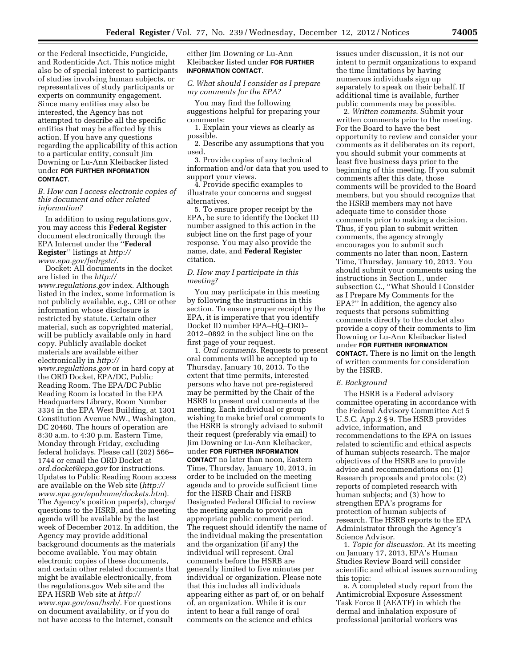or the Federal Insecticide, Fungicide, and Rodenticide Act. This notice might also be of special interest to participants of studies involving human subjects, or representatives of study participants or experts on community engagement. Since many entities may also be interested, the Agency has not attempted to describe all the specific entities that may be affected by this action. If you have any questions regarding the applicability of this action to a particular entity, consult Jim Downing or Lu-Ann Kleibacker listed under **FOR FURTHER INFORMATION CONTACT**.

*B. How can I access electronic copies of this document and other related information?* 

In addition to using regulations.gov, you may access this **Federal Register**  document electronically through the EPA Internet under the ''**Federal Register**'' listings at *[http://](http://www.epa.gov/fedrgstr/) [www.epa.gov/fedrgstr/.](http://www.epa.gov/fedrgstr/)* 

Docket: All documents in the docket are listed in the *[http://](http://www.regulations.gov) [www.regulations.gov](http://www.regulations.gov)* index. Although listed in the index, some information is not publicly available, e.g., CBI or other information whose disclosure is restricted by statute. Certain other material, such as copyrighted material, will be publicly available only in hard copy. Publicly available docket materials are available either electronically in *[http://](http://www.regulations.gov) [www.regulations.gov](http://www.regulations.gov)* or in hard copy at the ORD Docket, EPA/DC, Public Reading Room. The EPA/DC Public Reading Room is located in the EPA Headquarters Library, Room Number 3334 in the EPA West Building, at 1301 Constitution Avenue NW., Washington, DC 20460. The hours of operation are 8:30 a.m. to 4:30 p.m. Eastern Time, Monday through Friday, excluding federal holidays. Please call (202) 566– 1744 or email the ORD Docket at *[ord.docket@epa.gov](mailto:ord.docket@epa.gov)* for instructions. Updates to Public Reading Room access are available on the Web site (*[http://](http://www.epa.gov/epahome/dockets.htm) [www.epa.gov/epahome/dockets.htm](http://www.epa.gov/epahome/dockets.htm)*). The Agency's position paper(s), charge/ questions to the HSRB, and the meeting agenda will be available by the last week of December 2012. In addition, the Agency may provide additional background documents as the materials become available. You may obtain electronic copies of these documents, and certain other related documents that might be available electronically, from the regulations.gov Web site and the EPA HSRB Web site at *[http://](http://www.epa.gov/osa/hsrb/)  [www.epa.gov/osa/hsrb/.](http://www.epa.gov/osa/hsrb/)* For questions on document availability, or if you do not have access to the Internet, consult

## either Jim Downing or Lu-Ann Kleibacker listed under **FOR FURTHER INFORMATION CONTACT**.

*C. What should I consider as I prepare my comments for the EPA?* 

You may find the following suggestions helpful for preparing your comments:

1. Explain your views as clearly as possible.

2. Describe any assumptions that you used.

3. Provide copies of any technical information and/or data that you used to support your views.

4. Provide specific examples to illustrate your concerns and suggest alternatives.

5. To ensure proper receipt by the EPA, be sure to identify the Docket ID number assigned to this action in the subject line on the first page of your response. You may also provide the name, date, and **Federal Register**  citation.

## *D. How may I participate in this meeting?*

You may participate in this meeting by following the instructions in this section. To ensure proper receipt by the EPA, it is imperative that you identify Docket ID number EPA–HQ–ORD– 2012–0892 in the subject line on the first page of your request.

1. *Oral comments.* Requests to present oral comments will be accepted up to Thursday, January 10, 2013. To the extent that time permits, interested persons who have not pre-registered may be permitted by the Chair of the HSRB to present oral comments at the meeting. Each individual or group wishing to make brief oral comments to the HSRB is strongly advised to submit their request (preferably via email) to Jim Downing or Lu-Ann Kleibacker, under **FOR FURTHER INFORMATION CONTACT** no later than noon, Eastern Time, Thursday, January 10, 2013, in order to be included on the meeting agenda and to provide sufficient time for the HSRB Chair and HSRB Designated Federal Official to review the meeting agenda to provide an appropriate public comment period. The request should identify the name of the individual making the presentation and the organization (if any) the individual will represent. Oral comments before the HSRB are generally limited to five minutes per individual or organization. Please note that this includes all individuals appearing either as part of, or on behalf of, an organization. While it is our intent to hear a full range of oral comments on the science and ethics

issues under discussion, it is not our intent to permit organizations to expand the time limitations by having numerous individuals sign up separately to speak on their behalf. If additional time is available, further public comments may be possible.

2. *Written comments.* Submit your written comments prior to the meeting. For the Board to have the best opportunity to review and consider your comments as it deliberates on its report, you should submit your comments at least five business days prior to the beginning of this meeting. If you submit comments after this date, those comments will be provided to the Board members, but you should recognize that the HSRB members may not have adequate time to consider those comments prior to making a decision. Thus, if you plan to submit written comments, the agency strongly encourages you to submit such comments no later than noon, Eastern Time, Thursday, January 10, 2013. You should submit your comments using the instructions in Section I., under subsection C., ''What Should I Consider as I Prepare My Comments for the EPA?'' In addition, the agency also requests that persons submitting comments directly to the docket also provide a copy of their comments to Jim Downing or Lu-Ann Kleibacker listed under **FOR FURTHER INFORMATION CONTACT.** There is no limit on the length of written comments for consideration by the HSRB.

#### *E. Background*

The HSRB is a Federal advisory committee operating in accordance with the Federal Advisory Committee Act 5 U.S.C. App.2 § 9. The HSRB provides advice, information, and recommendations to the EPA on issues related to scientific and ethical aspects of human subjects research. The major objectives of the HSRB are to provide advice and recommendations on: (1) Research proposals and protocols; (2) reports of completed research with human subjects; and (3) how to strengthen EPA's programs for protection of human subjects of research. The HSRB reports to the EPA Administrator through the Agency's Science Advisor.

1. *Topic for discussion.* At its meeting on January 17, 2013, EPA's Human Studies Review Board will consider scientific and ethical issues surrounding this topic:

a. A completed study report from the Antimicrobial Exposure Assessment Task Force II (AEATF) in which the dermal and inhalation exposure of professional janitorial workers was